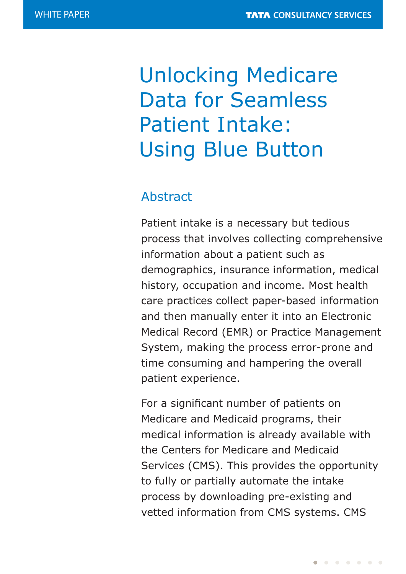# Unlocking Medicare Data for Seamless Patient Intake: Using Blue Button

# Abstract

Patient intake is a necessary but tedious process that involves collecting comprehensive information about a patient such as demographics, insurance information, medical history, occupation and income. Most health care practices collect paper-based information and then manually enter it into an Electronic Medical Record (EMR) or Practice Management System, making the process error-prone and time consuming and hampering the overall patient experience.

For a significant number of patients on Medicare and Medicaid programs, their medical information is already available with the Centers for Medicare and Medicaid Services (CMS). This provides the opportunity to fully or partially automate the intake process by downloading pre-existing and vetted information from CMS systems. CMS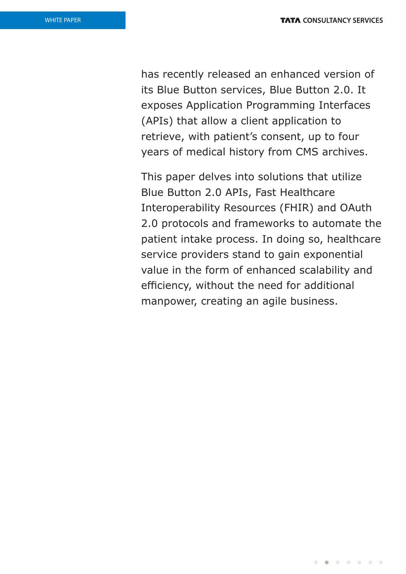has recently released an enhanced version of its Blue Button services, Blue Button 2.0. It exposes Application Programming Interfaces (APIs) that allow a client application to retrieve, with patient's consent, up to four years of medical history from CMS archives.

This paper delves into solutions that utilize Blue Button 2.0 APIs, Fast Healthcare Interoperability Resources (FHIR) and OAuth 2.0 protocols and frameworks to automate the patient intake process. In doing so, healthcare service providers stand to gain exponential value in the form of enhanced scalability and efficiency, without the need for additional manpower, creating an agile business.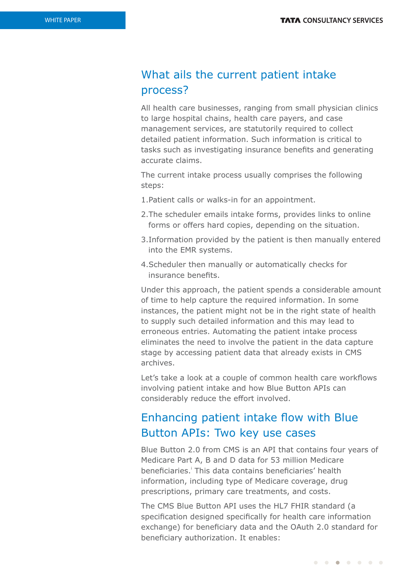# What ails the current patient intake process?

All health care businesses, ranging from small physician clinics to large hospital chains, health care payers, and case management services, are statutorily required to collect detailed patient information. Such information is critical to tasks such as investigating insurance benefits and generating accurate claims.

The current intake process usually comprises the following steps:

- 1.Patient calls or walks-in for an appointment.
- 2.The scheduler emails intake forms, provides links to online forms or offers hard copies, depending on the situation.
- 3.Information provided by the patient is then manually entered into the EMR systems.
- 4.Scheduler then manually or automatically checks for insurance benefits.

Under this approach, the patient spends a considerable amount of time to help capture the required information. In some instances, the patient might not be in the right state of health to supply such detailed information and this may lead to erroneous entries. Automating the patient intake process eliminates the need to involve the patient in the data capture stage by accessing patient data that already exists in CMS archives.

Let's take a look at a couple of common health care workflows involving patient intake and how Blue Button APIs can considerably reduce the effort involved.

## Enhancing patient intake flow with Blue Button APIs: Two key use cases

Blue Button 2.0 from CMS is an API that contains four years of Medicare Part A, B and D data for 53 million Medicare beneficiaries.<sup>1</sup> This data contains beneficiaries' health information, including type of Medicare coverage, drug prescriptions, primary care treatments, and costs.

The CMS Blue Button API uses the HL7 FHIR standard (a specification designed specifically for health care information exchange) for beneficiary data and the OAuth 2.0 standard for beneficiary authorization. It enables: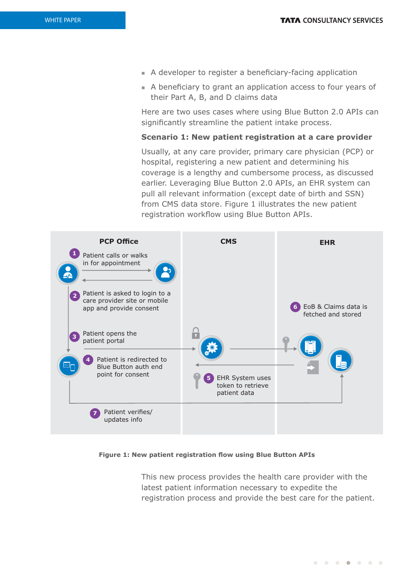- A developer to register a beneficiary-facing application
- <sup>n</sup> A beneficiary to grant an application access to four years of their Part A, B, and D claims data

Here are two uses cases where using Blue Button 2.0 APIs can significantly streamline the patient intake process.

### **Scenario 1: New patient registration at a care provider**

Usually, at any care provider, primary care physician (PCP) or hospital, registering a new patient and determining his coverage is a lengthy and cumbersome process, as discussed earlier. Leveraging Blue Button 2.0 APIs, an EHR system can pull all relevant information (except date of birth and SSN) from CMS data store. Figure 1 illustrates the new patient registration workflow using Blue Button APIs.



#### **Figure 1: New patient registration flow using Blue Button APIs**

This new process provides the health care provider with the latest patient information necessary to expedite the registration process and provide the best care for the patient.

. . . . . . .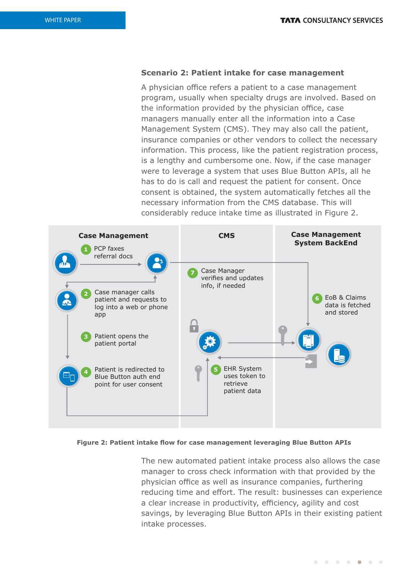### **Scenario 2: Patient intake for case management**

A physician office refers a patient to a case management program, usually when specialty drugs are involved. Based on the information provided by the physician office, case managers manually enter all the information into a Case Management System (CMS). They may also call the patient, insurance companies or other vendors to collect the necessary information. This process, like the patient registration process, is a lengthy and cumbersome one. Now, if the case manager were to leverage a system that uses Blue Button APIs, all he has to do is call and request the patient for consent. Once consent is obtained, the system automatically fetches all the necessary information from the CMS database. This will considerably reduce intake time as illustrated in Figure 2.



#### **Figure 2: Patient intake flow for case management leveraging Blue Button APIs**

The new automated patient intake process also allows the case manager to cross check information with that provided by the physician office as well as insurance companies, furthering reducing time and effort. The result: businesses can experience a clear increase in productivity, efficiency, agility and cost savings, by leveraging Blue Button APIs in their existing patient intake processes.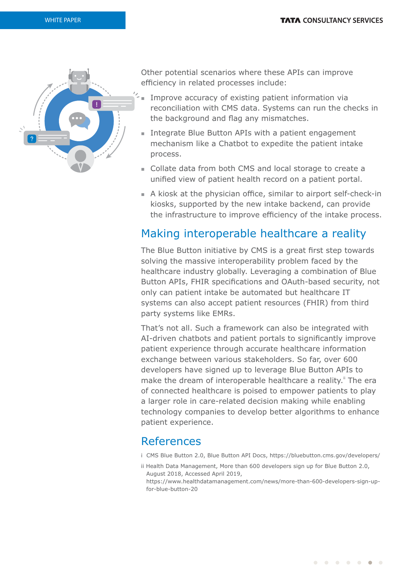

Other potential scenarios where these APIs can improve efficiency in related processes include:

- $\hat{p}'$  Improve accuracy of existing patient information via reconciliation with CMS data. Systems can run the checks in the background and flag any mismatches.
	- Integrate Blue Button APIs with a patient engagement mechanism like a Chatbot to expedite the patient intake process.
	- <sup>n</sup> Collate data from both CMS and local storage to create a unified view of patient health record on a patient portal.
	- <sup>n</sup> A kiosk at the physician office, similar to airport self-check-in kiosks, supported by the new intake backend, can provide the infrastructure to improve efficiency of the intake process.

### Making interoperable healthcare a reality

The Blue Button initiative by CMS is a great first step towards solving the massive interoperability problem faced by the healthcare industry globally. Leveraging a combination of Blue Button APIs, FHIR specifications and OAuth-based security, not only can patient intake be automated but healthcare IT systems can also accept patient resources (FHIR) from third party systems like EMRs.

That's not all. Such a framework can also be integrated with AI-driven chatbots and patient portals to significantly improve patient experience through accurate healthcare information exchange between various stakeholders. So far, over 600 developers have signed up to leverage Blue Button APIs to make the dream of interoperable healthcare a reality." The era of connected healthcare is poised to empower patients to play a larger role in care-related decision making while enabling technology companies to develop better algorithms to enhance patient experience.

## References

- i CMS Blue Button 2.0, Blue Button API Docs, https://bluebutton.cms.gov/developers/
- ii Health Data Management, More than 600 developers sign up for Blue Button 2.0, August 2018, Accessed April 2019,

https://www.healthdatamanagement.com/news/more-than-600-developers-sign-upfor-blue-button-20